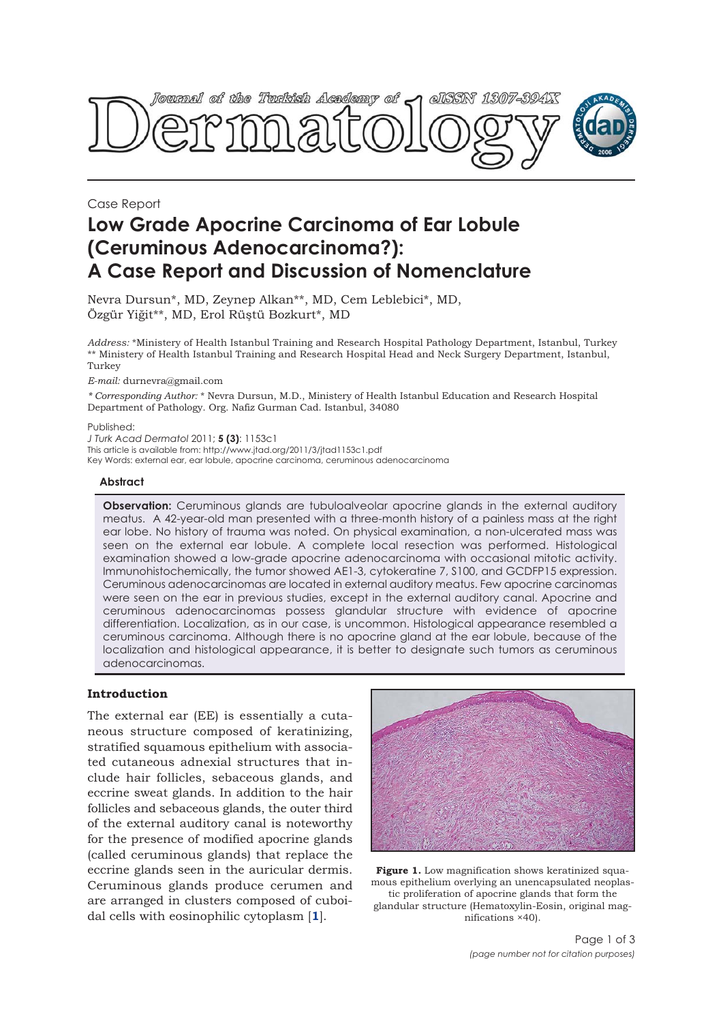

Case Report

# **Low Grade Apocrine Carcinoma of Ear Lobule (Ceruminous Adenocarcinoma?): A Case Report and Discussion of Nomenclature**

Nevra Dursun\*, MD, Zeynep Alkan\*\*, MD, Cem Leblebici\*, MD, Özgür Yiğit\*\*, MD, Erol Rüştü Bozkurt\*, MD

*Address:* \*Ministery of Health Istanbul Training and Research Hospital Pathology Department, Istanbul, Turkey \*\* Ministery of Health Istanbul Training and Research Hospital Head and Neck Surgery Department, Istanbul, Turkey

*E-mail:* durnevra@gmail.com

*\* Corresponding Author:* \* Nevra Dursun, M.D., Ministery of Health Istanbul Education and Research Hospital Department of Pathology. Org. Nafiz Gurman Cad. Istanbul, 34080

Published:

*J Turk Acad Dermatol* 2011; **5 (3)**: 1153c1

This article is available from: http://www.jtad.org/2011/3/jtad1153c1.pdf

Key Words: external ear, ear lobule, apocrine carcinoma, ceruminous adenocarcinoma

### **Abstract**

**Observation:** Ceruminous glands are tubuloalveolar apocrine glands in the external auditory meatus. A 42-year-old man presented with a three-month history of a painless mass at the right ear lobe. No history of trauma was noted. On physical examination, a non-ulcerated mass was seen on the external ear lobule. A complete local resection was performed. Histological examination showed a low-grade apocrine adenocarcinoma with occasional mitotic activity. Immunohistochemically, the tumor showed AE1-3, cytokeratine 7, S100, and GCDFP15 expression. Ceruminous adenocarcinomas are located in external auditory meatus. Few apocrine carcinomas were seen on the ear in previous studies, except in the external auditory canal. Apocrine and ceruminous adenocarcinomas possess glandular structure with evidence of apocrine differentiation. Localization, as in our case, is uncommon. Histological appearance resembled a ceruminous carcinoma. Although there is no apocrine gland at the ear lobule, because of the localization and histological appearance, it is better to designate such tumors as ceruminous adenocarcinomas.

# **Introduction**

The external ear (EE) is essentially a cutaneous structure composed of keratinizing, stratified squamous epithelium with associated cutaneous adnexial structures that include hair follicles, sebaceous glands, and eccrine sweat glands. In addition to the hair follicles and sebaceous glands, the outer third of the external auditory canal is noteworthy for the presence of modified apocrine glands (called ceruminous glands) that replace the eccrine glands seen in the auricular dermis. Ceruminous glands produce cerumen and are arranged in clusters composed of cuboidal cells with eosinophilic cytoplasm [**1**].



Figure 1. Low magnification shows keratinized squamous epithelium overlying an unencapsulated neoplastic proliferation of apocrine glands that form the glandular structure (Hematoxylin-Eosin, original magnifications ×40).

> Page 1 of 3 *(page number not for citation purposes)*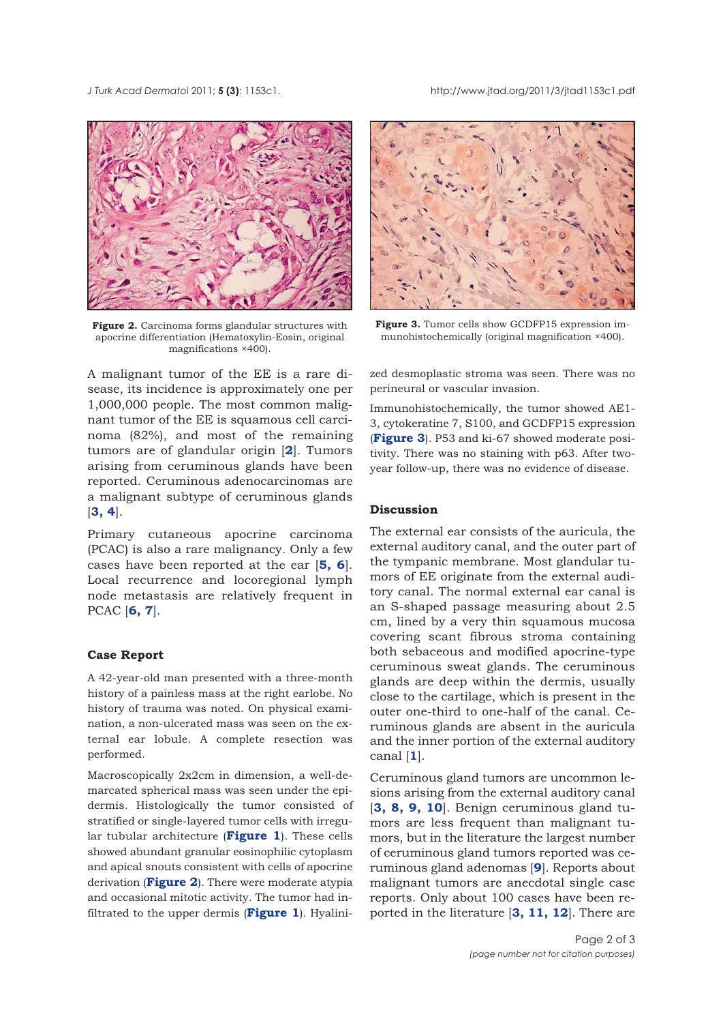*J Turk Acad Dermato*l 2011; **5 (3)**: 1153c1. http://www.jtad.org/2011/3/jtad1153c1.pdf



Figure 2. Carcinoma forms glandular structures with apocrine differentiation (Hematoxylin-Eosin, original magnifications ×400).

A malignant tumor of the EE is a rare disease, its incidence is approximately one per 1,000,000 people. The most common malignant tumor of the EE is squamous cell carcinoma (82%), and most of the remaining tumors are of glandular origin [**2**]. Tumors arising from ceruminous glands have been reported. Ceruminous adenocarcinomas are a malignant subtype of ceruminous glands [**3, 4**].

Primary cutaneous apocrine carcinoma (PCAC) is also a rare malignancy. Only a few cases have been reported at the ear [**5, 6**]. Local recurrence and locoregional lymph node metastasis are relatively frequent in PCAC [**6, 7**].

## **Case Report**

A 42-year-old man presented with a three-month history of a painless mass at the right earlobe. No history of trauma was noted. On physical examination, a non-ulcerated mass was seen on the external ear lobule. A complete resection was performed.

Macroscopically 2x2cm in dimension, a well-demarcated spherical mass was seen under the epidermis. Histologically the tumor consisted of stratified or single-layered tumor cells with irregular tubular architecture (**Figure 1**). These cells showed abundant granular eosinophilic cytoplasm and apical snouts consistent with cells of apocrine derivation (**Figure 2**). There were moderate atypia and occasional mitotic activity. The tumor had infiltrated to the upper dermis (**Figure 1**). Hyalini-



**Figure 3.** Tumor cells show GCDFP15 expression immunohistochemically (original magnification ×400).

zed desmoplastic stroma was seen. There was no perineural or vascular invasion.

Immunohistochemically, the tumor showed AE1- 3, cytokeratine 7, S100, and GCDFP15 expression (**Figure 3**). P53 and ki-67 showed moderate positivity. There was no staining with p63. After twoyear follow-up, there was no evidence of disease.

## **Discussion**

The external ear consists of the auricula, the external auditory canal, and the outer part of the tympanic membrane. Most glandular tumors of EE originate from the external auditory canal. The normal external ear canal is an S-shaped passage measuring about 2.5 cm, lined by a very thin squamous mucosa covering scant fibrous stroma containing both sebaceous and modified apocrine-type ceruminous sweat glands. The ceruminous glands are deep within the dermis, usually close to the cartilage, which is present in the outer one-third to one-half of the canal. Ceruminous glands are absent in the auricula and the inner portion of the external auditory canal [**1**].

Ceruminous gland tumors are uncommon lesions arising from the external auditory canal [**3, 8, 9, 10**]. Benign ceruminous gland tumors are less frequent than malignant tumors, but in the literature the largest number of ceruminous gland tumors reported was ceruminous gland adenomas [**9**]. Reports about malignant tumors are anecdotal single case reports. Only about 100 cases have been reported in the literature [**3, 11, 12**]. There are